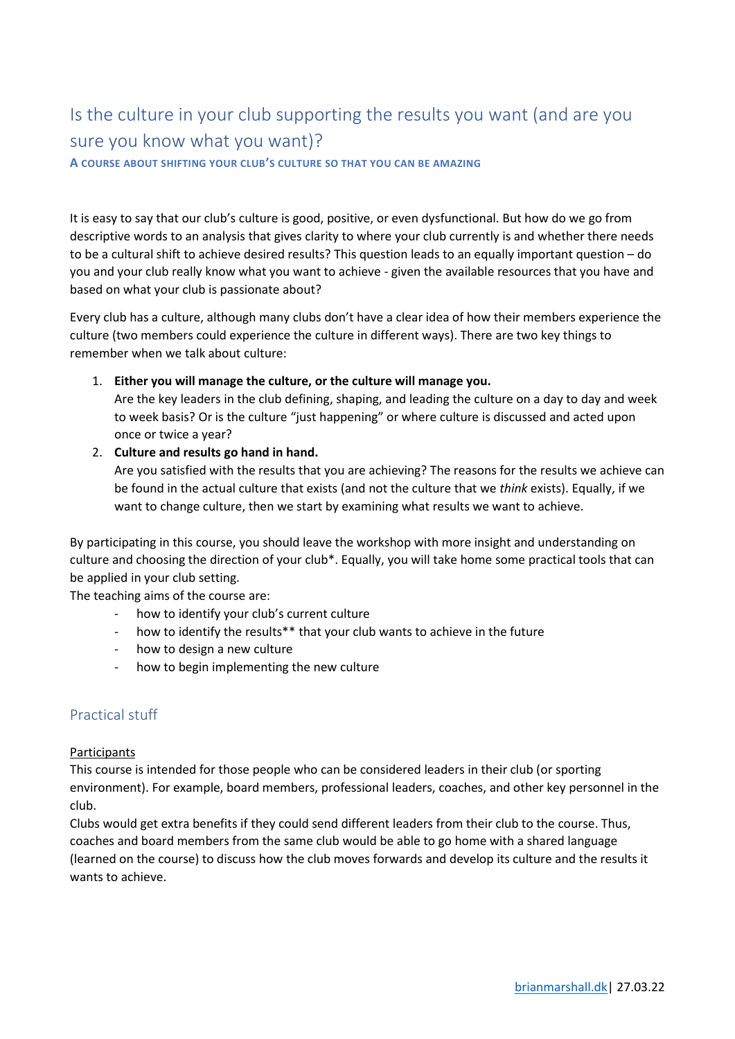# Is the culture in your club supporting the results you want (and are you sure you know what you want)?

**A COURSE ABOUT SHIFTING YOUR CLUB'S CULTURE SO THAT YOU CAN BE AMAZING**

It is easy to say that our club's culture is good, positive, or even dysfunctional. But how do we go from descriptive words to an analysis that gives clarity to where your club currently is and whether there needs to be a cultural shift to achieve desired results? This question leads to an equally important question – do you and your club really know what you want to achieve - given the available resources that you have and based on what your club is passionate about?

Every club has a culture, although many clubs don't have a clear idea of how their members experience the culture (two members could experience the culture in different ways). There are two key things to remember when we talk about culture:

1. **Either you will manage the culture, or the culture will manage you.** 

Are the key leaders in the club defining, shaping, and leading the culture on a day to day and week to week basis? Or is the culture "just happening" or where culture is discussed and acted upon once or twice a year?

2. **Culture and results go hand in hand.** 

Are you satisfied with the results that you are achieving? The reasons for the results we achieve can be found in the actual culture that exists (and not the culture that we *think* exists). Equally, if we want to change culture, then we start by examining what results we want to achieve.

By participating in this course, you should leave the workshop with more insight and understanding on culture and choosing the direction of your club\*. Equally, you will take home some practical tools that can be applied in your club setting.

The teaching aims of the course are:

- how to identify your club's current culture
- how to identify the results\*\* that your club wants to achieve in the future
- how to design a new culture
- how to begin implementing the new culture

## Practical stuff

#### Participants

This course is intended for those people who can be considered leaders in their club (or sporting environment). For example, board members, professional leaders, coaches, and other key personnel in the club.

Clubs would get extra benefits if they could send different leaders from their club to the course. Thus, coaches and board members from the same club would be able to go home with a shared language (learned on the course) to discuss how the club moves forwards and develop its culture and the results it wants to achieve.